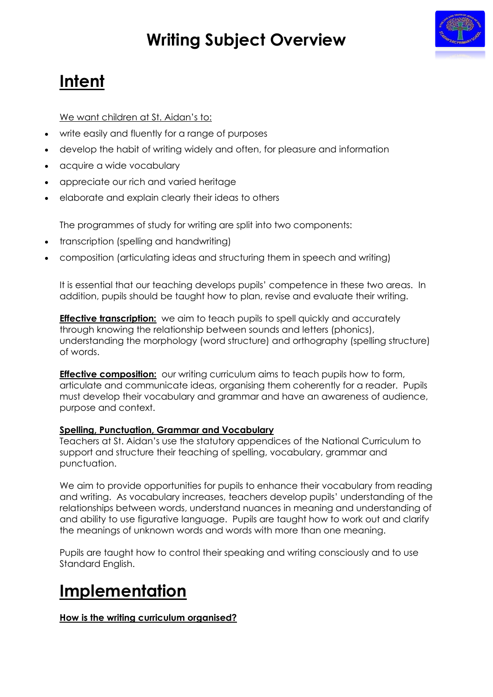# **Writing Subject Overview**



### **Intent**

We want children at St. Aidan's to:

- write easily and fluently for a range of purposes
- develop the habit of writing widely and often, for pleasure and information
- acquire a wide vocabulary
- appreciate our rich and varied heritage
- elaborate and explain clearly their ideas to others

The programmes of study for writing are split into two components:

- transcription (spelling and handwriting)
- composition (articulating ideas and structuring them in speech and writing)

It is essential that our teaching develops pupils' competence in these two areas. In addition, pupils should be taught how to plan, revise and evaluate their writing.

**Effective transcription:** we aim to teach pupils to spell quickly and accurately through knowing the relationship between sounds and letters (phonics), understanding the morphology (word structure) and orthography (spelling structure) of words.

**Effective composition:** our writing curriculum aims to teach pupils how to form, articulate and communicate ideas, organising them coherently for a reader. Pupils must develop their vocabulary and grammar and have an awareness of audience, purpose and context.

### **Spelling, Punctuation, Grammar and Vocabulary**

Teachers at St. Aidan's use the statutory appendices of the National Curriculum to support and structure their teaching of spelling, vocabulary, grammar and punctuation.

We aim to provide opportunities for pupils to enhance their vocabulary from reading and writing. As vocabulary increases, teachers develop pupils' understanding of the relationships between words, understand nuances in meaning and understanding of and ability to use figurative language. Pupils are taught how to work out and clarify the meanings of unknown words and words with more than one meaning.

Pupils are taught how to control their speaking and writing consciously and to use Standard English.

## **Implementation**

### **How is the writing curriculum organised?**